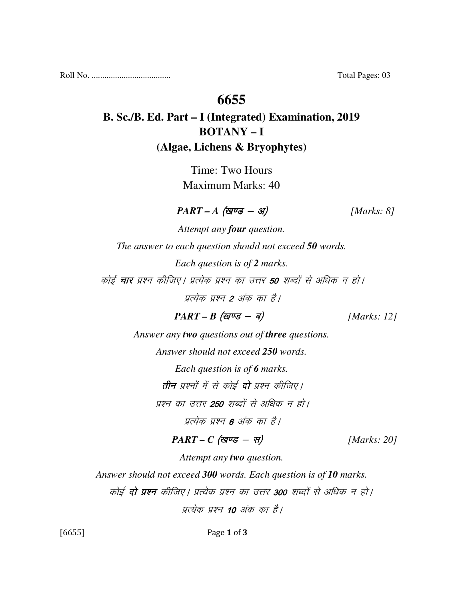Roll No. ..................................... Total Pages: 03

### **6655**

## **B. Sc./B. Ed. Part – I (Integrated) Examination, 2019 BOTANY – I (Algae, Lichens & Bryophytes)**

Time: Two Hours Maximum Marks: 40

 $\textit{PART - A} \text{ (gug - 3)}$  [Marks: 8]

*Attempt any four question. The answer to each question should not exceed 50 words. Each question is of 2 marks.*  कोई **चार** प्रश्न कीजिए। प्रत्येक प्रश्न का उत्तर **50** शब्दों से अधिक न हो। प्रत्येक प्रश्न 2 अंक का है।

 $PART - B$  (*खण्ड* - *ब*) [*Marks: 12*]

*Answer any two questions out of three questions.* 

*Answer should not exceed 250 words.* 

*Each question is of 6 marks.* 

तीन प्रश्नों में से कोई दो प्रश्न कीजिए।

प्रश्न का उत्तर **250** शब्दों से अधिक न हो।

प्रत्येक प्रश्न 6 अंक का है।

 $PART - C$  (खण्ड - स) [Marks: 20]

*Attempt any two question.* 

*Answer should not exceed 300 words. Each question is of 10 marks.* 

कोई **दो प्रश्न** कीजिए। प्रत्येक प्रश्न का उत्तर **300** शब्दों से अधिक न हो।

पत्येक पश्न 10 अंक का है।

[6655] Page 1 of 3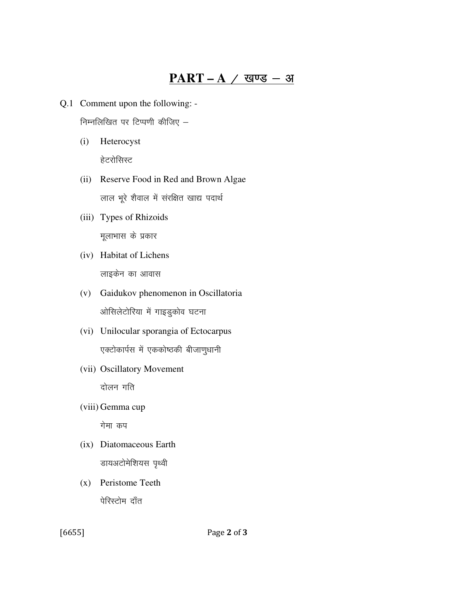# $PART-A$  / खण्ड - अ

- Q.1 Comment upon the following: -निम्नलिखित पर टिप्पणी कीजिए -
	- $(i)$ Heterocyst हेटरोसिस्ट
	- (ii) Reserve Food in Red and Brown Algae लाल भूरे शैवाल में संरक्षित खाद्य पदार्थ
	- (iii) Types of Rhizoids मूलाभास के प्रकार
	- (iv) Habitat of Lichens लाइकेन का आवास
	- (v) Gaidukov phenomenon in Oscillatoria ओसिलेटोरिया में गाइडुकोव घटना
	- (vi) Unilocular sporangia of Ectocarpus एक्टोकार्पस में एककोष्ठकी बीजाणुधानी
	- (vii) Oscillatory Movement दोलन गति
	- (viii) Gemma cup

गेमा कप

- (ix) Diatomaceous Earth डायअटोमेशियस पृथ्वी
- (x) Peristome Teeth पेरिस्टोम दाँत